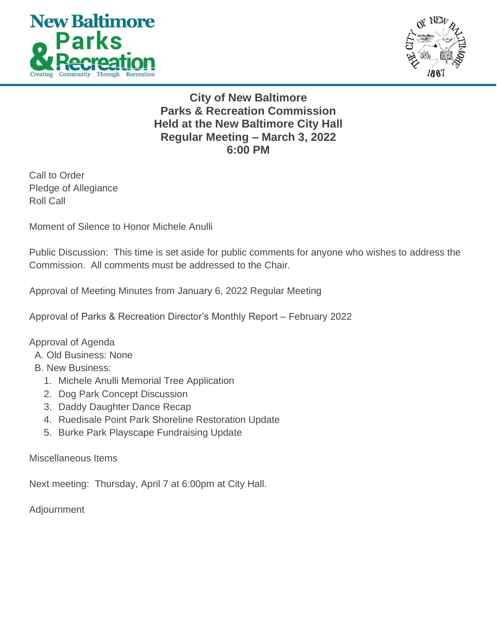



**City of New Baltimore Parks & Recreation Commission Held at the New Baltimore City Hall Regular Meeting – March 3, 2022 6:00 PM**

Call to Order Pledge of Allegiance Roll Call

Moment of Silence to Honor Michele Anulli

Public Discussion: This time is set aside for public comments for anyone who wishes to address the Commission. All comments must be addressed to the Chair.

Approval of Meeting Minutes from January 6, 2022 Regular Meeting

Approval of Parks & Recreation Director's Monthly Report – February 2022

Approval of Agenda

- A. Old Business: None
- B. New Business:
	- 1. Michele Anulli Memorial Tree Application
	- 2. Dog Park Concept Discussion
	- 3. Daddy Daughter Dance Recap
	- 4. Ruedisale Point Park Shoreline Restoration Update
	- 5. Burke Park Playscape Fundraising Update

Miscellaneous Items

Next meeting: Thursday, April 7 at 6:00pm at City Hall.

Adjournment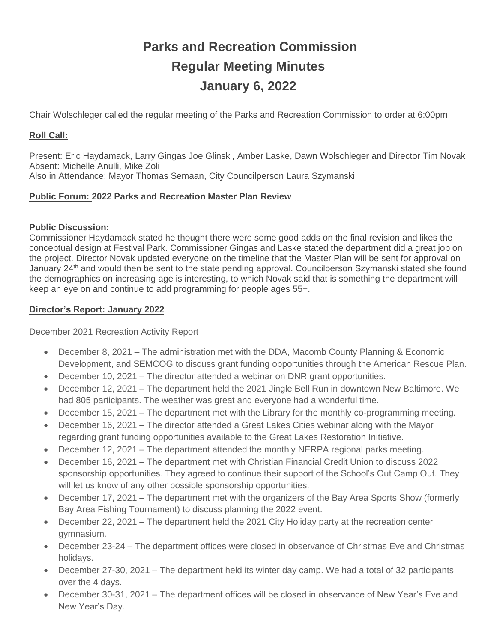# **Parks and Recreation Commission Regular Meeting Minutes January 6, 2022**

Chair Wolschleger called the regular meeting of the Parks and Recreation Commission to order at 6:00pm

# **Roll Call:**

Present: Eric Haydamack, Larry Gingas Joe Glinski, Amber Laske, Dawn Wolschleger and Director Tim Novak Absent: Michelle Anulli, Mike Zoli Also in Attendance: Mayor Thomas Semaan, City Councilperson Laura Szymanski

# **Public Forum: 2022 Parks and Recreation Master Plan Review**

# **Public Discussion:**

Commissioner Haydamack stated he thought there were some good adds on the final revision and likes the conceptual design at Festival Park. Commissioner Gingas and Laske stated the department did a great job on the project. Director Novak updated everyone on the timeline that the Master Plan will be sent for approval on January 24<sup>th</sup> and would then be sent to the state pending approval. Councilperson Szymanski stated she found the demographics on increasing age is interesting, to which Novak said that is something the department will keep an eye on and continue to add programming for people ages 55+.

# **Director's Report: January 2022**

December 2021 Recreation Activity Report

- December 8, 2021 The administration met with the DDA, Macomb County Planning & Economic Development, and SEMCOG to discuss grant funding opportunities through the American Rescue Plan.
- December 10, 2021 The director attended a webinar on DNR grant opportunities.
- December 12, 2021 The department held the 2021 Jingle Bell Run in downtown New Baltimore. We had 805 participants. The weather was great and everyone had a wonderful time.
- December 15, 2021 The department met with the Library for the monthly co-programming meeting.
- December 16, 2021 The director attended a Great Lakes Cities webinar along with the Mayor regarding grant funding opportunities available to the Great Lakes Restoration Initiative.
- December 12, 2021 The department attended the monthly NERPA regional parks meeting.
- December 16, 2021 The department met with Christian Financial Credit Union to discuss 2022 sponsorship opportunities. They agreed to continue their support of the School's Out Camp Out. They will let us know of any other possible sponsorship opportunities.
- December 17, 2021 The department met with the organizers of the Bay Area Sports Show (formerly Bay Area Fishing Tournament) to discuss planning the 2022 event.
- December 22, 2021 The department held the 2021 City Holiday party at the recreation center gymnasium.
- December 23-24 The department offices were closed in observance of Christmas Eve and Christmas holidays.
- December 27-30, 2021 The department held its winter day camp. We had a total of 32 participants over the 4 days.
- December 30-31, 2021 The department offices will be closed in observance of New Year's Eve and New Year's Day.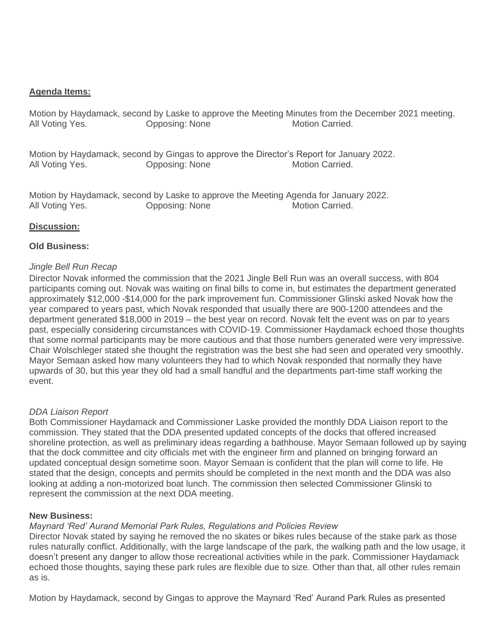#### **Agenda Items:**

Motion by Haydamack, second by Laske to approve the Meeting Minutes from the December 2021 meeting. All Voting Yes. **Opposing: None** Motion Carried.

Motion by Haydamack, second by Gingas to approve the Director's Report for January 2022. All Voting Yes. **Opposing: None** Motion Carried.

Motion by Haydamack, second by Laske to approve the Meeting Agenda for January 2022. All Voting Yes. **Communist Communist Communist Communist Communist Communist Communist Communist Communist Communist Communist Communist Communist Communist Communist Communist Communist Communist Communist Communist Commu** 

#### **Discussion:**

#### **Old Business:**

#### *Jingle Bell Run Recap*

Director Novak informed the commission that the 2021 Jingle Bell Run was an overall success, with 804 participants coming out. Novak was waiting on final bills to come in, but estimates the department generated approximately \$12,000 -\$14,000 for the park improvement fun. Commissioner Glinski asked Novak how the year compared to years past, which Novak responded that usually there are 900-1200 attendees and the department generated \$18,000 in 2019 – the best year on record. Novak felt the event was on par to years past, especially considering circumstances with COVID-19. Commissioner Haydamack echoed those thoughts that some normal participants may be more cautious and that those numbers generated were very impressive. Chair Wolschleger stated she thought the registration was the best she had seen and operated very smoothly. Mayor Semaan asked how many volunteers they had to which Novak responded that normally they have upwards of 30, but this year they old had a small handful and the departments part-time staff working the event.

#### *DDA Liaison Report*

Both Commissioner Haydamack and Commissioner Laske provided the monthly DDA Liaison report to the commission. They stated that the DDA presented updated concepts of the docks that offered increased shoreline protection, as well as preliminary ideas regarding a bathhouse. Mayor Semaan followed up by saying that the dock committee and city officials met with the engineer firm and planned on bringing forward an updated conceptual design sometime soon. Mayor Semaan is confident that the plan will come to life. He stated that the design, concepts and permits should be completed in the next month and the DDA was also looking at adding a non-motorized boat lunch. The commission then selected Commissioner Glinski to represent the commission at the next DDA meeting.

#### **New Business:**

#### *Maynard 'Red' Aurand Memorial Park Rules, Regulations and Policies Review*

Director Novak stated by saying he removed the no skates or bikes rules because of the stake park as those rules naturally conflict. Additionally, with the large landscape of the park, the walking path and the low usage, it doesn't present any danger to allow those recreational activities while in the park. Commissioner Haydamack echoed those thoughts, saying these park rules are flexible due to size. Other than that, all other rules remain as is.

Motion by Haydamack, second by Gingas to approve the Maynard 'Red' Aurand Park Rules as presented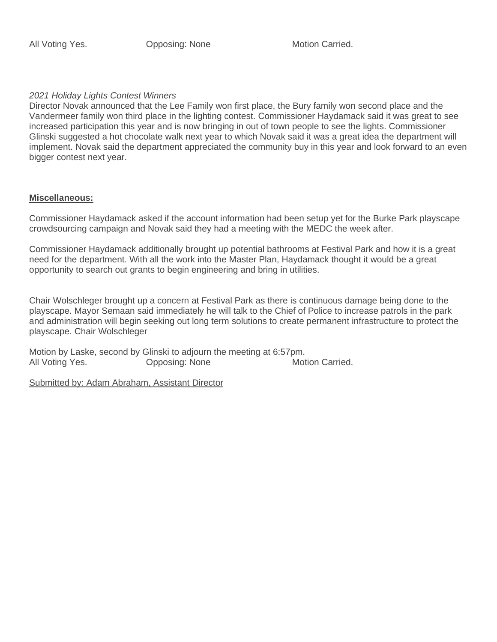#### *2021 Holiday Lights Contest Winners*

Director Novak announced that the Lee Family won first place, the Bury family won second place and the Vandermeer family won third place in the lighting contest. Commissioner Haydamack said it was great to see increased participation this year and is now bringing in out of town people to see the lights. Commissioner Glinski suggested a hot chocolate walk next year to which Novak said it was a great idea the department will implement. Novak said the department appreciated the community buy in this year and look forward to an even bigger contest next year.

#### **Miscellaneous:**

Commissioner Haydamack asked if the account information had been setup yet for the Burke Park playscape crowdsourcing campaign and Novak said they had a meeting with the MEDC the week after.

Commissioner Haydamack additionally brought up potential bathrooms at Festival Park and how it is a great need for the department. With all the work into the Master Plan, Haydamack thought it would be a great opportunity to search out grants to begin engineering and bring in utilities.

Chair Wolschleger brought up a concern at Festival Park as there is continuous damage being done to the playscape. Mayor Semaan said immediately he will talk to the Chief of Police to increase patrols in the park and administration will begin seeking out long term solutions to create permanent infrastructure to protect the playscape. Chair Wolschleger

Motion by Laske, second by Glinski to adjourn the meeting at 6:57pm. All Voting Yes. **Opposing: None** Motion Carried.

Submitted by: Adam Abraham, Assistant Director